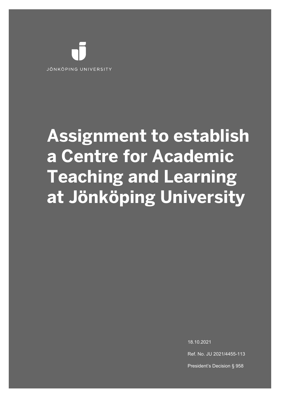

# **Assignment to establish a Centre for Academic Teaching and Learning at Jönköping University**

18.10.2021

Ref. No. JU 2021/4455-113

President's Decision § 958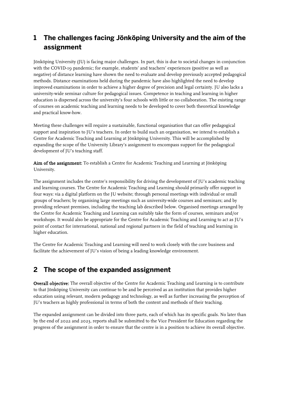# **1 The challenges facing Jönköping University and the aim of the assignment**

Jönköping University (JU) is facing major challenges. In part, this is due to societal changes in conjunction with the COVID-19 pandemic; for example, students' and teachers' experiences (positive as well as negative) of distance learning have shown the need to evaluate and develop previously accepted pedagogical methods. Distance examinations held during the pandemic have also highlighted the need to develop improved examinations in order to achieve a higher degree of precision and legal certainty. JU also lacks a university-wide seminar culture for pedagogical issues. Competence in teaching and learning in higher education is dispersed across the university's four schools with little or no collaboration. The existing range of courses on academic teaching and learning needs to be developed to cover both theoretical knowledge and practical know-how.

Meeting these challenges will require a sustainable, functional organisation that can offer pedagogical support and inspiration to JU's teachers. In order to build such an organisation, we intend to establish a Centre for Academic Teaching and Learning at Jönköping University. This will be accomplished by expanding the scope of the University Library's assignment to encompass support for the pedagogical development of JU's teaching staff.

Aim of the assignment: To establish a Centre for Academic Teaching and Learning at Jönköping University.

The assignment includes the centre's responsibility for driving the development of JU's academic teaching and learning courses. The Centre for Academic Teaching and Learning should primarily offer support in four ways: via a digital platform on the JU website; through personal meetings with individual or small groups of teachers; by organising large meetings such as university-wide courses and seminars; and by providing relevant premises, including the teaching lab described below. Organised meetings arranged by the Centre for Academic Teaching and Learning can suitably take the form of courses, seminars and/or workshops. It would also be appropriate for the Centre for Academic Teaching and Learning to act as JU's point of contact for international, national and regional partners in the field of teaching and learning in higher education.

The Centre for Academic Teaching and Learning will need to work closely with the core business and facilitate the achievement of JU's vision of being a leading knowledge environment.

## **2 The scope of the expanded assignment**

Overall objective: The overall objective of the Centre for Academic Teaching and Learning is to contribute to that Jönköping University can continue to be and be perceived as an institution that provides higher education using relevant, modern pedagogy and technology, as well as further increasing the perception of JU's teachers as highly professional in terms of both the content and methods of their teaching.

The expanded assignment can be divided into three parts, each of which has its specific goals. No later than by the end of 2022 and 2023, reports shall be submitted to the Vice President for Education regarding the progress of the assignment in order to ensure that the centre is in a position to achieve its overall objective.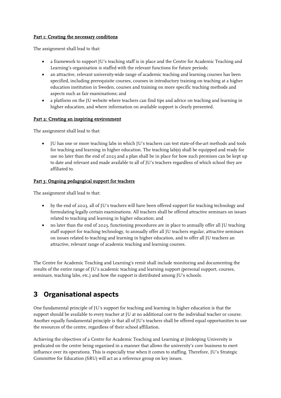#### Part 1: Creating the necessary conditions

The assignment shall lead to that:

- a framework to support JU's teaching staff is in place and the Centre for Academic Teaching and Learning's organisation is staffed with the relevant functions for future periods;
- an attractive, relevant university-wide range of academic teaching and learning courses has been specified, including prerequisite courses, courses in introductory training on teaching at a higher education institution in Sweden, courses and training on more specific teaching methods and aspects such as fair examinations; and
- a platform on the JU website where teachers can find tips and advice on teaching and learning in higher education, and where information on available support is clearly presented.

#### Part 2: Creating an inspiring environment

The assignment shall lead to that:

• JU has one or more teaching labs in which JU's teachers can test state-of-the-art methods and tools for teaching and learning in higher education. The teaching lab(s) shall be equipped and ready for use no later than the end of 2023 and a plan shall be in place for how such premises can be kept up to date and relevant and made available to all of JU's teachers regardless of which school they are affiliated to.

#### Part 3: Ongoing pedagogical support for teachers

The assignment shall lead to that:

- by the end of 2023, all of JU's teachers will have been offered support for teaching technology and formulating legally certain examinations. All teachers shall be offered attractive seminars on issues related to teaching and learning in higher education; and
- no later than the end of 2023, functioning procedures are in place to annually offer all JU teaching staff support for teaching technology, to annually offer all JU teachers regular, attractive seminars on issues related to teaching and learning in higher education, and to offer all JU teachers an attractive, relevant range of academic teaching and learning courses.

The Centre for Academic Teaching and Learning's remit shall include monitoring and documenting the results of the entire range of JU's academic teaching and learning support (personal support, courses, seminars, teaching labs, etc.) and how the support is distributed among JU's schools.

## **3 Organisational aspects**

One fundamental principle of JU's support for teaching and learning in higher education is that the support should be available to every teacher at JU at no additional cost to the individual teacher or course. Another equally fundamental principle is that all of JU's teachers shall be offered equal opportunities to use the resources of the centre, regardless of their school affiliation.

Achieving the objectives of a Centre for Academic Teaching and Learning at Jönköping University is predicated on the centre being organised in a manner that allows the university's core business to exert influence over its operations. This is especially true when it comes to staffing. Therefore, JU's Strategic Committee for Education (SRU) will act as a reference group on key issues.